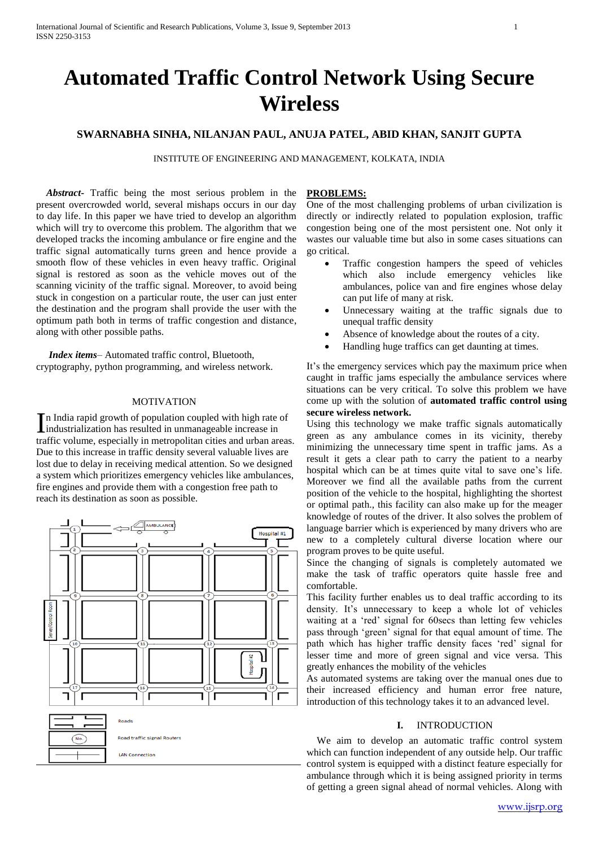# **Automated Traffic Control Network Using Secure Wireless**

# **SWARNABHA SINHA, NILANJAN PAUL, ANUJA PATEL, ABID KHAN, SANJIT GUPTA**

INSTITUTE OF ENGINEERING AND MANAGEMENT, KOLKATA, INDIA

 *Abstract***-** Traffic being the most serious problem in the present overcrowded world, several mishaps occurs in our day to day life. In this paper we have tried to develop an algorithm which will try to overcome this problem. The algorithm that we developed tracks the incoming ambulance or fire engine and the traffic signal automatically turns green and hence provide a smooth flow of these vehicles in even heavy traffic. Original signal is restored as soon as the vehicle moves out of the scanning vicinity of the traffic signal. Moreover, to avoid being stuck in congestion on a particular route, the user can just enter the destination and the program shall provide the user with the optimum path both in terms of traffic congestion and distance, along with other possible paths.

 *Index items–* Automated traffic control, Bluetooth, cryptography, python programming, and wireless network.

#### MOTIVATION

n India rapid growth of population coupled with high rate of In India rapid growth of population coupled with high rate<br>industrialization has resulted in unmanageable increase in traffic volume, especially in metropolitan cities and urban areas. Due to this increase in traffic density several valuable lives are lost due to delay in receiving medical attention. So we designed a system which prioritizes emergency vehicles like ambulances, fire engines and provide them with a congestion free path to reach its destination as soon as possible.



#### **PROBLEMS:**

One of the most challenging problems of urban civilization is directly or indirectly related to population explosion, traffic congestion being one of the most persistent one. Not only it wastes our valuable time but also in some cases situations can go critical.

- Traffic congestion hampers the speed of vehicles which also include emergency vehicles like ambulances, police van and fire engines whose delay can put life of many at risk.
- Unnecessary waiting at the traffic signals due to unequal traffic density
- Absence of knowledge about the routes of a city.
- Handling huge traffics can get daunting at times.

It's the emergency services which pay the maximum price when caught in traffic jams especially the ambulance services where situations can be very critical. To solve this problem we have come up with the solution of **automated traffic control using secure wireless network.**

Using this technology we make traffic signals automatically green as any ambulance comes in its vicinity, thereby minimizing the unnecessary time spent in traffic jams. As a result it gets a clear path to carry the patient to a nearby hospital which can be at times quite vital to save one's life. Moreover we find all the available paths from the current position of the vehicle to the hospital, highlighting the shortest or optimal path., this facility can also make up for the meager knowledge of routes of the driver. It also solves the problem of language barrier which is experienced by many drivers who are new to a completely cultural diverse location where our program proves to be quite useful.

Since the changing of signals is completely automated we make the task of traffic operators quite hassle free and comfortable.

This facility further enables us to deal traffic according to its density. It's unnecessary to keep a whole lot of vehicles waiting at a 'red' signal for 60secs than letting few vehicles pass through 'green' signal for that equal amount of time. The path which has higher traffic density faces 'red' signal for lesser time and more of green signal and vice versa. This greatly enhances the mobility of the vehicles

As automated systems are taking over the manual ones due to their increased efficiency and human error free nature, introduction of this technology takes it to an advanced level.

#### **I.** INTRODUCTION

 We aim to develop an automatic traffic control system which can function independent of any outside help. Our traffic control system is equipped with a distinct feature especially for ambulance through which it is being assigned priority in terms of getting a green signal ahead of normal vehicles. Along with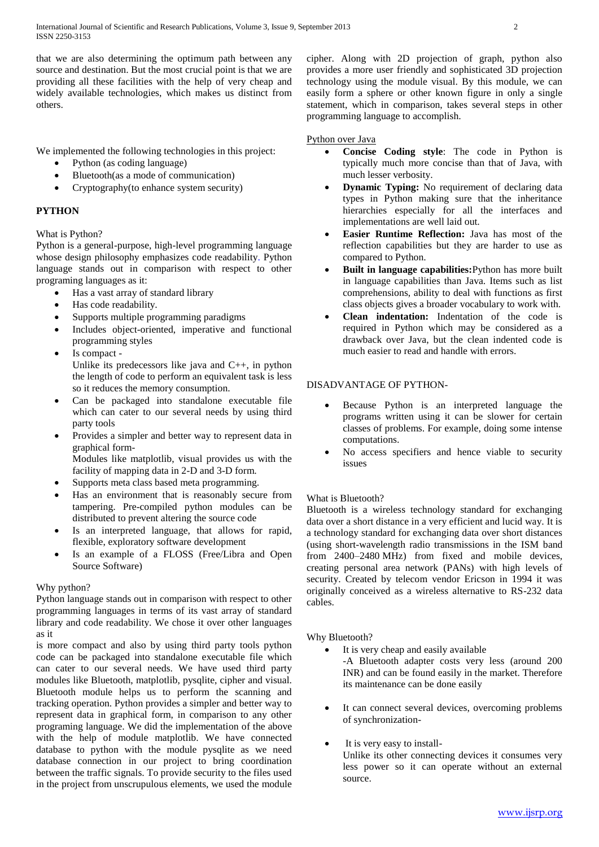that we are also determining the optimum path between any source and destination. But the most crucial point is that we are providing all these facilities with the help of very cheap and widely available technologies, which makes us distinct from others.

We implemented the following technologies in this project:

- Python (as coding language)
- Bluetooth(as a mode of communication)
- Cryptography(to enhance system security)

# **PYTHON**

What is Python?

Python is a general-purpose, high-level programming language whose design philosophy emphasizes code readability. Python language stands out in comparison with respect to other programing languages as it:

- Has a vast array of standard library
- Has code readability.
- Supports multiple programming paradigms
- Includes object-oriented, imperative and functional programming styles
- Is compact Unlike its predecessors like java and C++, in python the length of code to perform an equivalent task is less so it reduces the memory consumption.
- Can be packaged into standalone executable file which can cater to our several needs by using third party tools
- Provides a simpler and better way to represent data in graphical form-Modules like matplotlib, visual provides us with the
- facility of mapping data in 2-D and 3-D form.
- Supports [meta](http://stackoverflow.com/q/100003/395760) class based meta programming.
- Has an environment that is reasonably secure from tampering. Pre-compiled python modules can be distributed to prevent altering the source code
- Is an interpreted language, that allows for rapid, flexible, exploratory software development
- Is an example of a FLOSS (Free/Libra and Open Source Software)

# Why python?

Python language stands out in comparison with respect to other programming languages in terms of its vast array of standard library and code readability. We chose it over other languages as it

is more compact and also by using third party tools python code can be packaged into standalone executable file which can cater to our several needs. We have used third party modules like Bluetooth, matplotlib, pysqlite, cipher and visual. Bluetooth module helps us to perform the scanning and tracking operation. Python provides a simpler and better way to represent data in graphical form, in comparison to any other programing language. We did the implementation of the above with the help of module matplotlib. We have connected database to python with the module pysqlite as we need database connection in our project to bring coordination between the traffic signals. To provide security to the files used in the project from unscrupulous elements, we used the module

cipher. Along with 2D projection of graph, python also provides a more user friendly and sophisticated 3D projection technology using the module visual. By this module, we can easily form a sphere or other known figure in only a single statement, which in comparison, takes several steps in other programming language to accomplish.

## Python over Java

- **Concise Coding style**: The code in Python is typically much more concise than that of Java, with much lesser verbosity.
- **Dynamic Typing:** No requirement of declaring data types in Python making sure that the inheritance hierarchies especially for all the interfaces and implementations are well laid out.
- **Easier Runtime Reflection:** Java has most of the reflection capabilities but they are harder to use as compared to Python.
- **Built in language capabilities:**Python has more built in language capabilities than Java. Items such as list comprehensions, ability to deal with functions as first class objects gives a broader vocabulary to work with.
- **Clean indentation:** Indentation of the code is required in Python which may be considered as a drawback over Java, but the clean indented code is much easier to read and handle with errors.

# DISADVANTAGE OF PYTHON-

- Because Python is an interpreted language the programs written using it can be slower for certain classes of problems. For example, doing some intense computations.
- No access specifiers and hence viable to security issues

## What is Bluetooth?

Bluetooth is a wireless technology standard for exchanging data over a short distance in a very efficient and lucid way. It is a technology standard for exchanging data over short distances (using short-wavelength radio transmissions in the ISM band from 2400–2480 MHz) from fixed and mobile devices, creating personal area network (PANs) with high levels of security. Created by telecom vendor Ericson in 1994 it was originally conceived as a wireless alternative to RS-232 data cables.

## Why Bluetooth?

It is very cheap and easily available

-A Bluetooth adapter costs very less (around 200 INR) and can be found easily in the market. Therefore its maintenance can be done easily

- It can connect several devices, overcoming problems of synchronization-
- It is very easy to install-

Unlike its other connecting devices it consumes very less power so it can operate without an external source.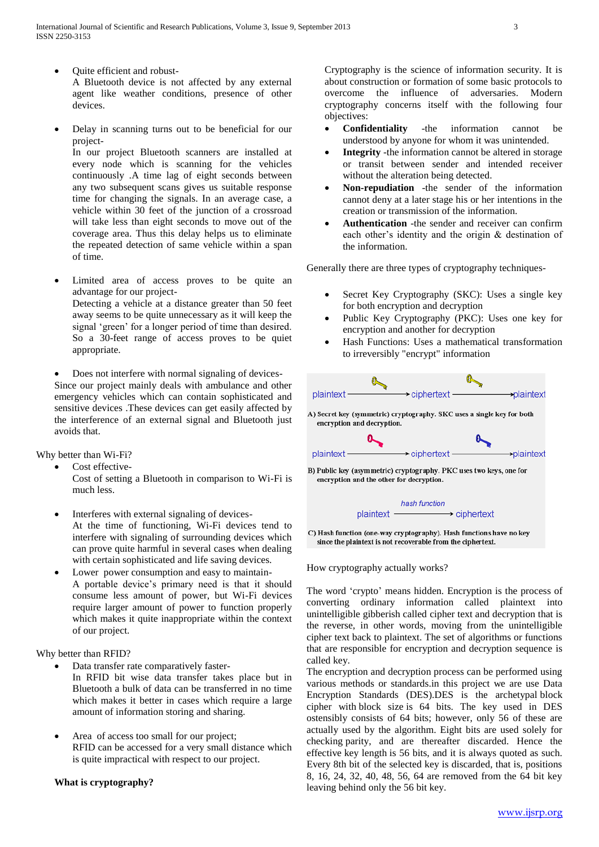- Quite efficient and robust-A Bluetooth device is not affected by any external agent like weather conditions, presence of other devices.
- Delay in scanning turns out to be beneficial for our project-

In our project Bluetooth scanners are installed at every node which is scanning for the vehicles continuously .A time lag of eight seconds between any two subsequent scans gives us suitable response time for changing the signals. In an average case, a vehicle within 30 feet of the junction of a crossroad will take less than eight seconds to move out of the coverage area. Thus this delay helps us to eliminate the repeated detection of same vehicle within a span of time.

- Limited area of access proves to be quite an advantage for our project-Detecting a vehicle at a distance greater than 50 feet away seems to be quite unnecessary as it will keep the signal 'green' for a longer period of time than desired. So a 30-feet range of access proves to be quiet appropriate.
- Does not interfere with normal signaling of devices-Since our project mainly deals with ambulance and other

emergency vehicles which can contain sophisticated and sensitive devices .These devices can get easily affected by the interference of an external signal and Bluetooth just avoids that.

Why better than Wi-Fi?

- Cost effective-Cost of setting a Bluetooth in comparison to Wi-Fi is much less.
- Interferes with external signaling of devices-At the time of functioning, Wi-Fi devices tend to interfere with signaling of surrounding devices which can prove quite harmful in several cases when dealing with certain sophisticated and life saving devices.
- Lower power consumption and easy to maintain-A portable device's primary need is that it should consume less amount of power, but Wi-Fi devices require larger amount of power to function properly which makes it quite inappropriate within the context of our project.

## Why better than RFID?

- Data transfer rate comparatively faster-
- In RFID bit wise data transfer takes place but in Bluetooth a bulk of data can be transferred in no time which makes it better in cases which require a large amount of information storing and sharing.
- Area of access too small for our project; RFID can be accessed for a very small distance which is quite impractical with respect to our project.

# **What is cryptography?**

Cryptography is the science of information security. It is about construction or formation of some basic protocols to overcome the influence of adversaries. Modern cryptography concerns itself with the following four objectives:

- **Confidentiality** -the information cannot be understood by anyone for whom it was unintended.
- **Integrity** -the information cannot be altered in storage or transit between sender and intended receiver without the alteration being detected.
- **Non-repudiation** -the sender of the information cannot deny at a later stage his or her intentions in the creation or transmission of the information.
- **Authentication** -the sender and receiver can confirm each other's identity and the origin & destination of the information.

Generally there are three types of cryptography techniques-

- Secret Key Cryptography (SKC): Uses a single key for both encryption and decryption
- Public Key Cryptography (PKC): Uses one key for encryption and another for decryption
- Hash Functions: Uses a mathematical transformation to irreversibly "encrypt" information



C) Hash function (one-way cryptography). Hash functions have no key since the plaintext is not recoverable from the ciphertext.

How cryptography actually works?

The word 'crypto' means hidden. Encryption is the process of converting ordinary information called [plaintext](http://en.wikipedia.org/wiki/Plaintext) into unintelligible gibberish called [cipher text](http://en.wikipedia.org/wiki/Ciphertext) and decryption that is the reverse, in other words, moving from the unintelligible cipher text back to plaintext. The set of algorithms or functions that are responsible for encryption and decryption sequence is called key.

The encryption and decryption process can be performed using various methods or standards.in this project we are use Data Encryption Standards (DES).DES is the archetypal [block](http://en.wikipedia.org/wiki/Block_cipher)  [cipher](http://en.wikipedia.org/wiki/Block_cipher) with [block size](http://en.wikipedia.org/wiki/Block_size_(cryptography)) is 64 bits. The key used in DES ostensibly consists of 64 bits; however, only 56 of these are actually used by the algorithm. Eight bits are used solely for checking [parity,](http://en.wikipedia.org/wiki/Parity_bit) and are thereafter discarded. Hence the effective [key length](http://en.wikipedia.org/wiki/Key_length) is 56 bits, and it is always quoted as such. Every 8th bit of the selected key is discarded, that is, positions 8, 16, 24, 32, 40, 48, 56, 64 are removed from the 64 bit key leaving behind only the 56 bit key.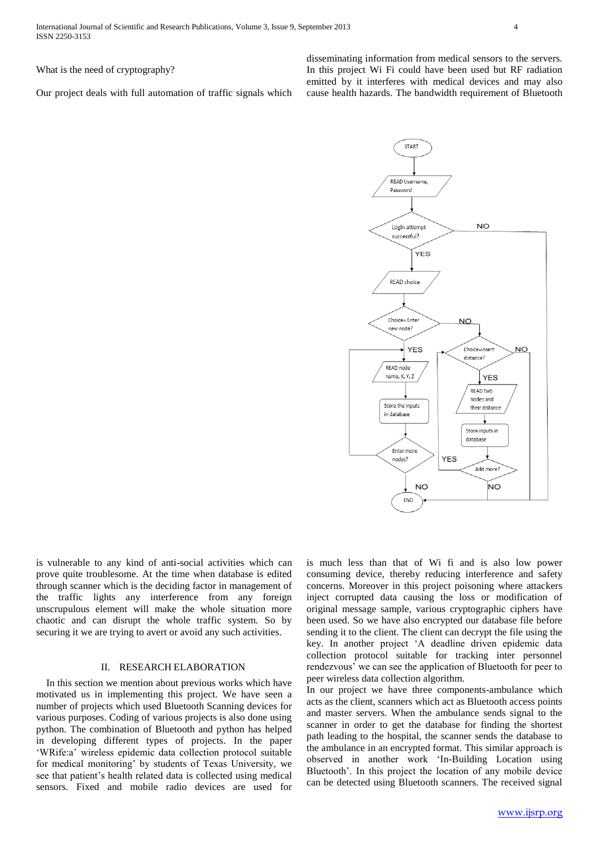What is the need of cryptography?

Our project deals with full automation of traffic signals which

disseminating information from medical sensors to the servers. In this project Wi Fi could have been used but RF radiation emitted by it interferes with medical devices and may also cause health hazards. The bandwidth requirement of Bluetooth



is vulnerable to any kind of anti-social activities which can prove quite troublesome. At the time when database is edited through scanner which is the deciding factor in management of the traffic lights any interference from any foreign unscrupulous element will make the whole situation more chaotic and can disrupt the whole traffic system. So by securing it we are trying to avert or avoid any such activities.

## II. RESEARCH ELABORATION

 In this section we mention about previous works which have motivated us in implementing this project. We have seen a number of projects which used Bluetooth Scanning devices for various purposes. Coding of various projects is also done using python. The combination of Bluetooth and python has helped in developing different types of projects. In the paper 'WRife:a' wireless epidemic data collection protocol suitable for medical monitoring' by students of Texas University, we see that patient's health related data is collected using medical sensors. Fixed and mobile radio devices are used for is much less than that of Wi fi and is also low power consuming device, thereby reducing interference and safety concerns. Moreover in this project poisoning where attackers inject corrupted data causing the loss or modification of original message sample, various cryptographic ciphers have been used. So we have also encrypted our database file before sending it to the client. The client can decrypt the file using the key. In another project 'A deadline driven epidemic data collection protocol suitable for tracking inter personnel rendezvous' we can see the application of Bluetooth for peer to peer wireless data collection algorithm.

In our project we have three components-ambulance which acts as the client, scanners which act as Bluetooth access points and master servers. When the ambulance sends signal to the scanner in order to get the database for finding the shortest path leading to the hospital, the scanner sends the database to the ambulance in an encrypted format. This similar approach is observed in another work 'In-Building Location using Bluetooth'. In this project the location of any mobile device can be detected using Bluetooth scanners. The received signal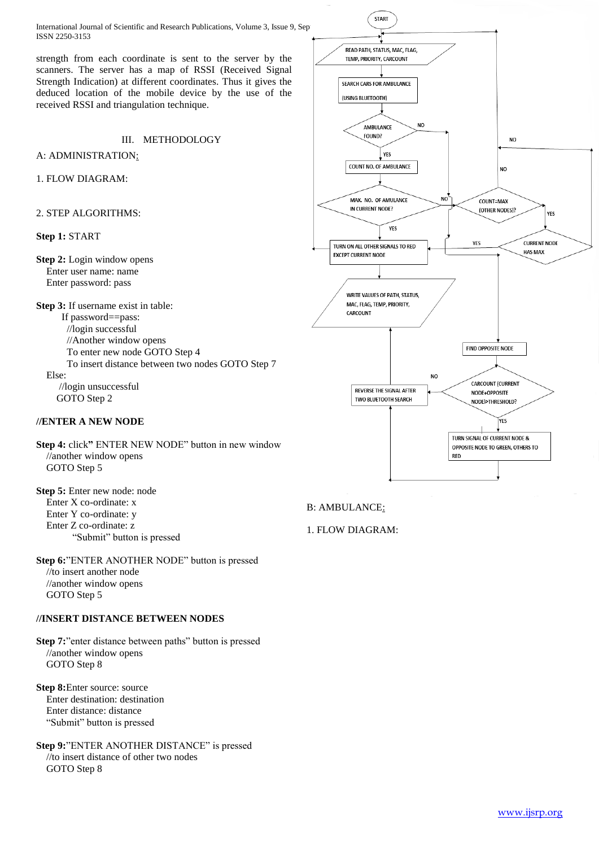International Journal of Scientific and Research Publications, Volume 3, Issue 9, Sep ISSN 2250-3153

strength from each coordinate is sent to the server by the scanners. The server has a map of RSSI (Received Signal Strength Indication) at different coordinates. Thus it gives the deduced location of the mobile device by the use of the received RSSI and triangulation technique.

# III. METHODOLOGY

A: ADMINISTRATION:

#### 1. FLOW DIAGRAM:

#### 2. STEP ALGORITHMS:

### **Step 1:** START

**Step 2:** Login window opens Enter user name: name Enter password: pass

**Step 3:** If username exist in table: If password==pass: //login successful //Another window opens To enter new node GOTO Step 4 To insert distance between two nodes GOTO Step 7 Else: //login unsuccessful GOTO Step 2

## **//ENTER A NEW NODE**

**Step 4:** click**"** ENTER NEW NODE" button in new window //another window opens GOTO Step 5

**Step 5:** Enter new node: node Enter X co-ordinate: x Enter Y co-ordinate: y Enter Z co-ordinate: z "Submit" button is pressed

**Step 6:**"ENTER ANOTHER NODE" button is pressed //to insert another node //another window opens GOTO Step 5

#### **//INSERT DISTANCE BETWEEN NODES**

**Step 7:**"enter distance between paths" button is pressed //another window opens GOTO Step 8

**Step 8:**Enter source: source Enter destination: destination Enter distance: distance "Submit" button is pressed

**Step 9:**"ENTER ANOTHER DISTANCE" is pressed //to insert distance of other two nodes GOTO Step 8



B: AMBULANCE:

1. FLOW DIAGRAM: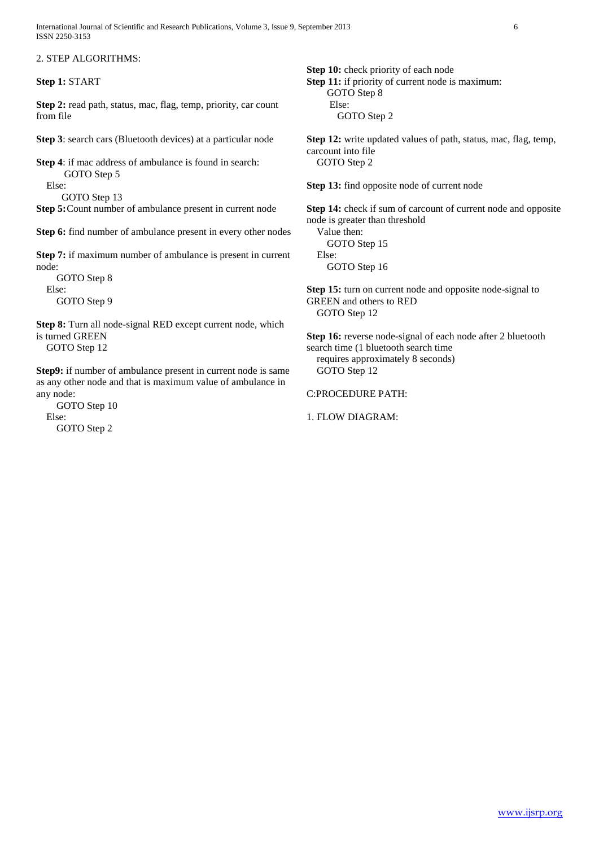International Journal of Scientific and Research Publications, Volume 3, Issue 9, September 2013 6 ISSN 2250-3153

2. STEP ALGORITHMS:

**Step 1:** START

**Step 2:** read path, status, mac, flag, temp, priority, car count from file

**Step 3**: search cars (Bluetooth devices) at a particular node

**Step 4**: if mac address of ambulance is found in search: GOTO Step 5 Else:

GOTO Step 13

**Step 5:**Count number of ambulance present in current node

**Step 6:** find number of ambulance present in every other nodes

**Step 7:** if maximum number of ambulance is present in current node:

GOTO Step 8 Else: GOTO Step 9

Step 8: Turn all node-signal RED except current node, which is turned GREEN GOTO Step 12

**Step9:** if number of ambulance present in current node is same as any other node and that is maximum value of ambulance in any node:

GOTO Step 10 Else: GOTO Step 2

**Step 10:** check priority of each node **Step 11:** if priority of current node is maximum: GOTO Step 8 Else: GOTO Step 2

**Step 12:** write updated values of path, status, mac, flag, temp, carcount into file GOTO Step 2

**Step 13:** find opposite node of current node

**Step 14:** check if sum of carcount of current node and opposite node is greater than threshold

Value then: GOTO Step 15 Else: GOTO Step 16

**Step 15:** turn on current node and opposite node-signal to GREEN and others to RED GOTO Step 12

**Step 16:** reverse node-signal of each node after 2 bluetooth search time (1 bluetooth search time requires approximately 8 seconds) GOTO Step 12

C:PROCEDURE PATH:

1. FLOW DIAGRAM: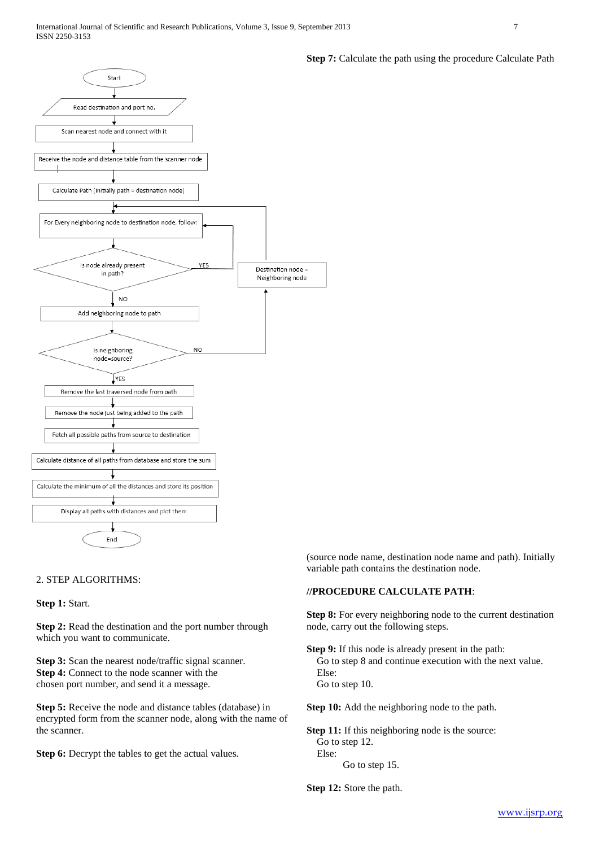

# 2. STEP ALGORITHMS:

**Step 1:** Start.

**Step 2:** Read the destination and the port number through which you want to communicate.

**Step 3:** Scan the nearest node/traffic signal scanner. **Step 4:** Connect to the node scanner with the chosen port number, and send it a message.

**Step 5:** Receive the node and distance tables (database) in encrypted form from the scanner node, along with the name of the scanner.

**Step 6:** Decrypt the tables to get the actual values.

**Step 7:** Calculate the path using the procedure Calculate Path

(source node name, destination node name and path). Initially variable path contains the destination node.

#### **//PROCEDURE CALCULATE PATH**:

**Step 8:** For every neighboring node to the current destination node, carry out the following steps.

**Step 9:** If this node is already present in the path: Go to step 8 and continue execution with the next value. Else: Go to step 10.

**Step 10:** Add the neighboring node to the path.

**Step 11:** If this neighboring node is the source: Go to step 12. Else: Go to step 15.

**Step 12:** Store the path.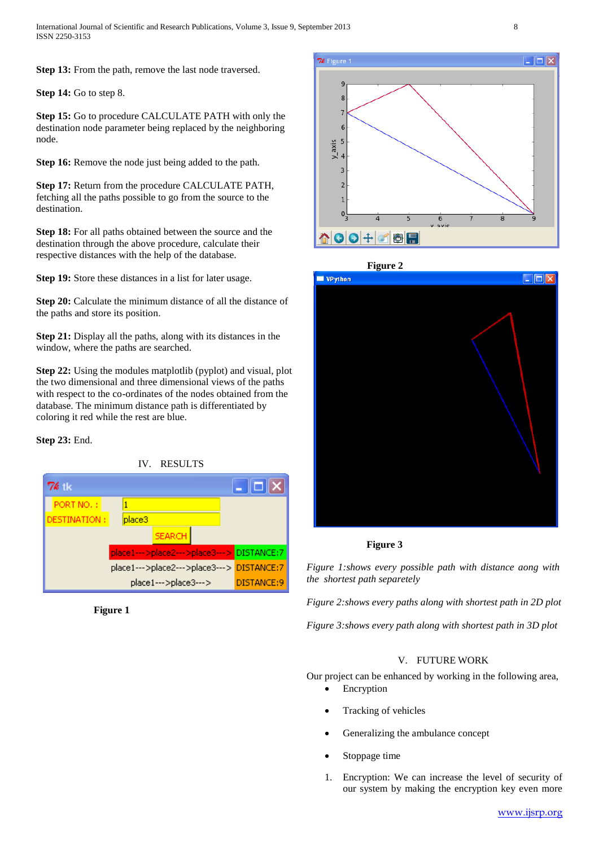**Step 13:** From the path, remove the last node traversed.

**Step 14:** Go to step 8.

**Step 15:** Go to procedure CALCULATE PATH with only the destination node parameter being replaced by the neighboring node.

**Step 16:** Remove the node just being added to the path.

**Step 17:** Return from the procedure CALCULATE PATH, fetching all the paths possible to go from the source to the destination.

**Step 18:** For all paths obtained between the source and the destination through the above procedure, calculate their respective distances with the help of the database.

**Step 19:** Store these distances in a list for later usage.

**Step 20:** Calculate the minimum distance of all the distance of the paths and store its position.

**Step 21:** Display all the paths, along with its distances in the window, where the paths are searched.

**Step 22:** Using the modules matplotlib (pyplot) and visual, plot the two dimensional and three dimensional views of the paths with respect to the co-ordinates of the nodes obtained from the database. The minimum distance path is differentiated by coloring it red while the rest are blue.

## **Step 23:** End.



 **Figure 1**





## **Figure 3**

*Figure 1:shows every possible path with distance aong with the shortest path separetely*

*Figure 2:shows every paths along with shortest path in 2D plot*

*Figure 3:shows every path along with shortest path in 3D plot*

## V. FUTURE WORK

Our project can be enhanced by working in the following area,

- Encryption
- Tracking of vehicles
- Generalizing the ambulance concept
- Stoppage time
- 1. Encryption: We can increase the level of security of our system by making the encryption key even more